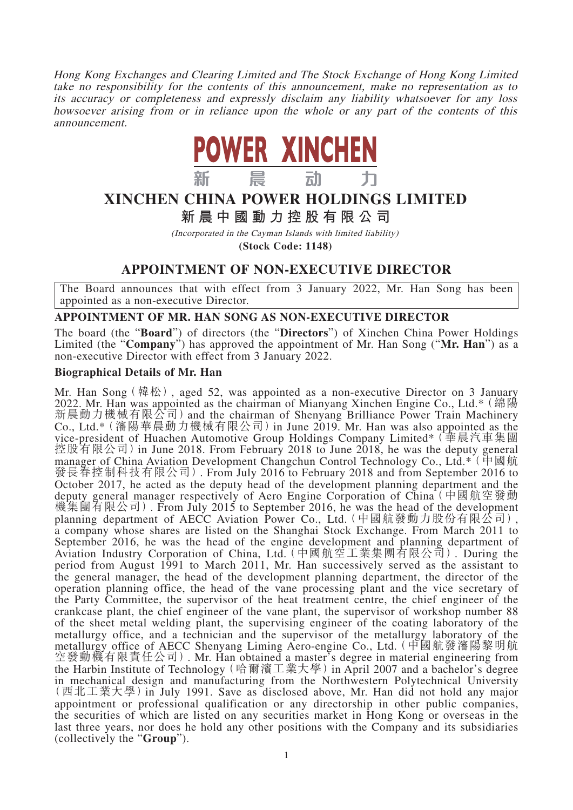Hong Kong Exchanges and Clearing Limited and The Stock Exchange of Hong Kong Limited take no responsibility for the contents of this announcement, make no representation as to its accuracy or completeness and expressly disclaim any liability whatsoever for any loss howsoever arising from or in reliance upon the whole or any part of the contents of this announcement.



# **XINCHEN CHINA POWER HOLDINGS LIMITED 新晨中國動力控股有限公 司**

(Incorporated in the Cayman Islands with limited liability) **(Stock Code: 1148)**

## **APPOINTMENT OF NON-EXECUTIVE DIRECTOR**

The Board announces that with effect from 3 January 2022, Mr. Han Song has been appointed as a non-executive Director.

#### **APPOINTMENT OF MR. HAN SONG AS NON-EXECUTIVE DIRECTOR**

The board (the "**Board**") of directors (the "**Directors**") of Xinchen China Power Holdings Limited (the "**Company**") has approved the appointment of Mr. Han Song ("**Mr. Han**") as a non-executive Director with effect from 3 January 2022.

#### **Biographical Details of Mr. Han**

Mr. Han Song(韓松), aged 52, was appointed as a non-executive Director on 3 January 2022. Mr. Han was appointed as the chairman of Mianyang Xinchen Engine Co., Ltd.\*(綿陽 新晨動力機械有限公司)and the chairman of Shenyang Brilliance Power Train Machinery Co., Ltd.\*(瀋陽華晨動力機械有限公司)in June 2019. Mr. Han was also appointed as the vice-president of Huachen Automotive Group Holdings Company Limited\*(華晨汽車集團 控股有限公司) in June 2018. From February 2018 to June 2018, he was the deputy general manager of China Aviation Development Changchun Control Technology Co., Ltd.\* (中國航 發長春控制科技有限公司). From July 2016 to February 2018 and from September 2016 to October 2017, he acted as the deputy head of the development planning department and the deputy general manager respectively of Aero Engine Corporation of China (中國航空發動 機集團有限公司). From July 2015 to September 2016, he was the head of the development planning department of AECC Aviation Power Co., Ltd.(中國航發動力股份有限公司), a company whose shares are listed on the Shanghai Stock Exchange. From March 2011 to September 2016, he was the head of the engine development and planning department of Aviation Industry Corporation of China, Ltd.(中國航空工業集團有限公司). During the period from August 1991 to March 2011, Mr. Han successively served as the assistant to the general manager, the head of the development planning department, the director of the operation planning office, the head of the vane processing plant and the vice secretary of the Party Committee, the supervisor of the heat treatment centre, the chief engineer of the crankcase plant, the chief engineer of the vane plant, the supervisor of workshop number 88 of the sheet metal welding plant, the supervising engineer of the coating laboratory of the metallurgy office, and a technician and the supervisor of the metallurgy laboratory of the metallurgy office of AECC Shenyang Liming Aero-engine Co., Ltd.(中國航發瀋陽黎明航 空發動機有限責任公司). Mr. Han obtained a master's degree in material engineering from the Harbin Institute of Technology(哈爾濱工業大學)in April 2007 and a bachelor's degree in mechanical design and manufacturing from the Northwestern Polytechnical University (西北工業大學)in July 1991. Save as disclosed above, Mr. Han did not hold any major appointment or professional qualification or any directorship in other public companies, the securities of which are listed on any securities market in Hong Kong or overseas in the last three years, nor does he hold any other positions with the Company and its subsidiaries (collectively the "**Group**").